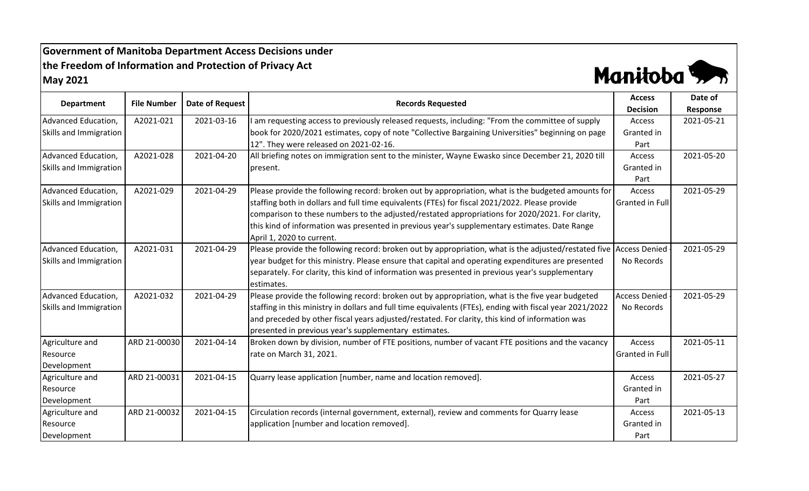**Government of Manitoba Department Access Decisions under the Freedom of Information and Protection of Privacy Act May 2021**



| <b>Department</b>      | <b>File Number</b> | <b>Date of Request</b> | <b>Records Requested</b>                                                                                 | <b>Access</b><br><b>Decision</b> | Date of<br>Response |
|------------------------|--------------------|------------------------|----------------------------------------------------------------------------------------------------------|----------------------------------|---------------------|
| Advanced Education,    | A2021-021          | 2021-03-16             | am requesting access to previously released requests, including: "From the committee of supply           | Access                           | 2021-05-21          |
| Skills and Immigration |                    |                        | book for 2020/2021 estimates, copy of note "Collective Bargaining Universities" beginning on page        | Granted in                       |                     |
|                        |                    |                        | 12". They were released on 2021-02-16.                                                                   | Part                             |                     |
| Advanced Education,    | A2021-028          | 2021-04-20             | All briefing notes on immigration sent to the minister, Wayne Ewasko since December 21, 2020 till        | Access                           | 2021-05-20          |
| Skills and Immigration |                    |                        | present.                                                                                                 | Granted in                       |                     |
|                        |                    |                        |                                                                                                          | Part                             |                     |
| Advanced Education,    | A2021-029          | 2021-04-29             | Please provide the following record: broken out by appropriation, what is the budgeted amounts for       | Access                           | 2021-05-29          |
| Skills and Immigration |                    |                        | staffing both in dollars and full time equivalents (FTEs) for fiscal 2021/2022. Please provide           | <b>Granted in Full</b>           |                     |
|                        |                    |                        | comparison to these numbers to the adjusted/restated appropriations for 2020/2021. For clarity,          |                                  |                     |
|                        |                    |                        | this kind of information was presented in previous year's supplementary estimates. Date Range            |                                  |                     |
|                        |                    |                        | April 1, 2020 to current.                                                                                |                                  |                     |
| Advanced Education,    | A2021-031          | 2021-04-29             | Please provide the following record: broken out by appropriation, what is the adjusted/restated five     | <b>Access Denied</b>             | 2021-05-29          |
| Skills and Immigration |                    |                        | year budget for this ministry. Please ensure that capital and operating expenditures are presented       | No Records                       |                     |
|                        |                    |                        | separately. For clarity, this kind of information was presented in previous year's supplementary         |                                  |                     |
|                        |                    |                        | estimates.                                                                                               |                                  |                     |
| Advanced Education,    | A2021-032          | 2021-04-29             | Please provide the following record: broken out by appropriation, what is the five year budgeted         | <b>Access Denied</b>             | 2021-05-29          |
| Skills and Immigration |                    |                        | staffing in this ministry in dollars and full time equivalents (FTEs), ending with fiscal year 2021/2022 | No Records                       |                     |
|                        |                    |                        | and preceded by other fiscal years adjusted/restated. For clarity, this kind of information was          |                                  |                     |
|                        |                    |                        | presented in previous year's supplementary estimates.                                                    |                                  |                     |
| Agriculture and        | ARD 21-00030       | 2021-04-14             | Broken down by division, number of FTE positions, number of vacant FTE positions and the vacancy         | Access                           | 2021-05-11          |
| Resource               |                    |                        | rate on March 31, 2021.                                                                                  | <b>Granted in Full</b>           |                     |
| Development            |                    |                        |                                                                                                          |                                  |                     |
| Agriculture and        | ARD 21-00031       | 2021-04-15             | Quarry lease application [number, name and location removed].                                            | Access                           | 2021-05-27          |
| Resource               |                    |                        |                                                                                                          | Granted in                       |                     |
| Development            |                    |                        |                                                                                                          | Part                             |                     |
| Agriculture and        | ARD 21-00032       | 2021-04-15             | Circulation records (internal government, external), review and comments for Quarry lease                | Access                           | 2021-05-13          |
| Resource               |                    |                        | application [number and location removed].                                                               | Granted in                       |                     |
| Development            |                    |                        |                                                                                                          | Part                             |                     |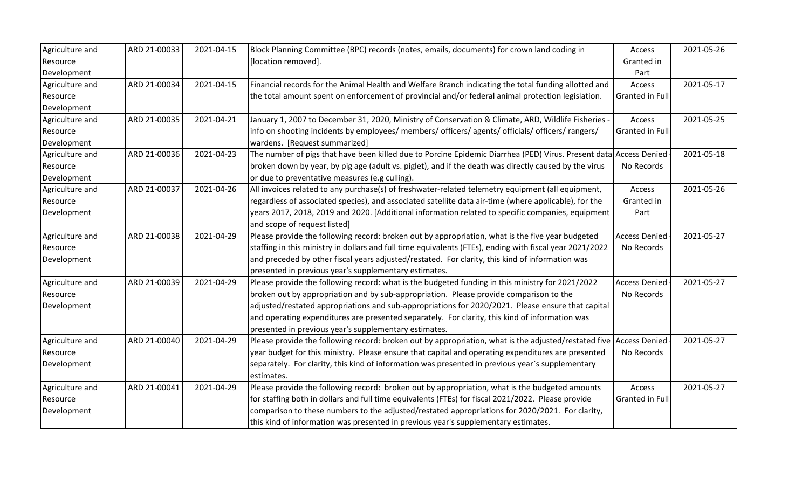| Agriculture and | ARD 21-00033 | 2021-04-15 | Block Planning Committee (BPC) records (notes, emails, documents) for crown land coding in                         | Access               | 2021-05-26 |
|-----------------|--------------|------------|--------------------------------------------------------------------------------------------------------------------|----------------------|------------|
| Resource        |              |            | [location removed].                                                                                                | Granted in           |            |
| Development     |              |            |                                                                                                                    | Part                 |            |
| Agriculture and | ARD 21-00034 | 2021-04-15 | Financial records for the Animal Health and Welfare Branch indicating the total funding allotted and               | Access               | 2021-05-17 |
| Resource        |              |            | the total amount spent on enforcement of provincial and/or federal animal protection legislation.                  | Granted in Full      |            |
| Development     |              |            |                                                                                                                    |                      |            |
| Agriculture and | ARD 21-00035 | 2021-04-21 | January 1, 2007 to December 31, 2020, Ministry of Conservation & Climate, ARD, Wildlife Fisheries -                | Access               | 2021-05-25 |
| Resource        |              |            | info on shooting incidents by employees/ members/ officers/ agents/ officials/ officers/ rangers/                  | Granted in Full      |            |
| Development     |              |            | wardens. [Request summarized]                                                                                      |                      |            |
| Agriculture and | ARD 21-00036 | 2021-04-23 | The number of pigs that have been killed due to Porcine Epidemic Diarrhea (PED) Virus. Present data Access Denied  |                      | 2021-05-18 |
| Resource        |              |            | broken down by year, by pig age (adult vs. piglet), and if the death was directly caused by the virus              | No Records           |            |
| Development     |              |            | or due to preventative measures (e.g culling).                                                                     |                      |            |
| Agriculture and | ARD 21-00037 | 2021-04-26 | All invoices related to any purchase(s) of freshwater-related telemetry equipment (all equipment,                  | Access               | 2021-05-26 |
| Resource        |              |            | regardless of associated species), and associated satellite data air-time (where applicable), for the              | Granted in           |            |
| Development     |              |            | years 2017, 2018, 2019 and 2020. [Additional information related to specific companies, equipment                  | Part                 |            |
|                 |              |            | and scope of request listed]                                                                                       |                      |            |
| Agriculture and | ARD 21-00038 | 2021-04-29 | Please provide the following record: broken out by appropriation, what is the five year budgeted                   | <b>Access Denied</b> | 2021-05-27 |
| Resource        |              |            | staffing in this ministry in dollars and full time equivalents (FTEs), ending with fiscal year 2021/2022           | No Records           |            |
| Development     |              |            | and preceded by other fiscal years adjusted/restated. For clarity, this kind of information was                    |                      |            |
|                 |              |            | presented in previous year's supplementary estimates.                                                              |                      |            |
| Agriculture and | ARD 21-00039 | 2021-04-29 | Please provide the following record: what is the budgeted funding in this ministry for 2021/2022                   | <b>Access Denied</b> | 2021-05-27 |
| Resource        |              |            | broken out by appropriation and by sub-appropriation. Please provide comparison to the                             | No Records           |            |
| Development     |              |            | adjusted/restated appropriations and sub-appropriations for 2020/2021. Please ensure that capital                  |                      |            |
|                 |              |            | and operating expenditures are presented separately. For clarity, this kind of information was                     |                      |            |
|                 |              |            | presented in previous year's supplementary estimates.                                                              |                      |            |
| Agriculture and | ARD 21-00040 | 2021-04-29 | Please provide the following record: broken out by appropriation, what is the adjusted/restated five Access Denied |                      | 2021-05-27 |
| Resource        |              |            | year budget for this ministry. Please ensure that capital and operating expenditures are presented                 | No Records           |            |
| Development     |              |            | separately. For clarity, this kind of information was presented in previous year's supplementary                   |                      |            |
|                 |              |            | estimates.                                                                                                         |                      |            |
| Agriculture and | ARD 21-00041 | 2021-04-29 | Please provide the following record: broken out by appropriation, what is the budgeted amounts                     | Access               | 2021-05-27 |
| Resource        |              |            | for staffing both in dollars and full time equivalents (FTEs) for fiscal 2021/2022. Please provide                 | Granted in Full      |            |
| Development     |              |            | comparison to these numbers to the adjusted/restated appropriations for 2020/2021. For clarity,                    |                      |            |
|                 |              |            | this kind of information was presented in previous year's supplementary estimates.                                 |                      |            |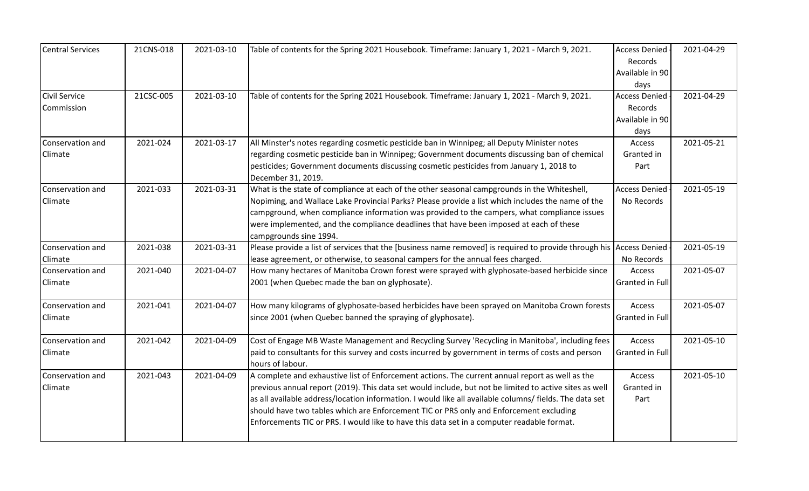| <b>Central Services</b>            | 21CNS-018 | 2021-03-10 | Table of contents for the Spring 2021 Housebook. Timeframe: January 1, 2021 - March 9, 2021.                                                                                                                                                                                                                                                                                                                                                                                                                 | <b>Access Denied</b><br>Records<br>Available in 90<br>days | 2021-04-29 |
|------------------------------------|-----------|------------|--------------------------------------------------------------------------------------------------------------------------------------------------------------------------------------------------------------------------------------------------------------------------------------------------------------------------------------------------------------------------------------------------------------------------------------------------------------------------------------------------------------|------------------------------------------------------------|------------|
| <b>Civil Service</b><br>Commission | 21CSC-005 | 2021-03-10 | Table of contents for the Spring 2021 Housebook. Timeframe: January 1, 2021 - March 9, 2021.                                                                                                                                                                                                                                                                                                                                                                                                                 | <b>Access Denied</b><br>Records<br>Available in 90<br>days | 2021-04-29 |
| Conservation and<br>Climate        | 2021-024  | 2021-03-17 | All Minster's notes regarding cosmetic pesticide ban in Winnipeg; all Deputy Minister notes<br>regarding cosmetic pesticide ban in Winnipeg; Government documents discussing ban of chemical<br>pesticides; Government documents discussing cosmetic pesticides from January 1, 2018 to<br>December 31, 2019.                                                                                                                                                                                                | Access<br>Granted in<br>Part                               | 2021-05-21 |
| Conservation and<br>Climate        | 2021-033  | 2021-03-31 | What is the state of compliance at each of the other seasonal campgrounds in the Whiteshell,<br>Nopiming, and Wallace Lake Provincial Parks? Please provide a list which includes the name of the<br>campground, when compliance information was provided to the campers, what compliance issues<br>were implemented, and the compliance deadlines that have been imposed at each of these<br>campgrounds sine 1994.                                                                                         | <b>Access Denied</b><br>No Records                         | 2021-05-19 |
| Conservation and<br>Climate        | 2021-038  | 2021-03-31 | Please provide a list of services that the [business name removed] is required to provide through his<br>lease agreement, or otherwise, to seasonal campers for the annual fees charged.                                                                                                                                                                                                                                                                                                                     | <b>Access Denied</b><br>No Records                         | 2021-05-19 |
| Conservation and<br>Climate        | 2021-040  | 2021-04-07 | How many hectares of Manitoba Crown forest were sprayed with glyphosate-based herbicide since<br>2001 (when Quebec made the ban on glyphosate).                                                                                                                                                                                                                                                                                                                                                              | Access<br>Granted in Full                                  | 2021-05-07 |
| Conservation and<br>Climate        | 2021-041  | 2021-04-07 | How many kilograms of glyphosate-based herbicides have been sprayed on Manitoba Crown forests<br>since 2001 (when Quebec banned the spraying of glyphosate).                                                                                                                                                                                                                                                                                                                                                 | Access<br>Granted in Full                                  | 2021-05-07 |
| Conservation and<br>Climate        | 2021-042  | 2021-04-09 | Cost of Engage MB Waste Management and Recycling Survey 'Recycling in Manitoba', including fees<br>paid to consultants for this survey and costs incurred by government in terms of costs and person<br>hours of labour.                                                                                                                                                                                                                                                                                     | Access<br>Granted in Full                                  | 2021-05-10 |
| Conservation and<br>Climate        | 2021-043  | 2021-04-09 | A complete and exhaustive list of Enforcement actions. The current annual report as well as the<br>previous annual report (2019). This data set would include, but not be limited to active sites as well<br>as all available address/location information. I would like all available columns/ fields. The data set<br>should have two tables which are Enforcement TIC or PRS only and Enforcement excluding<br>Enforcements TIC or PRS. I would like to have this data set in a computer readable format. | Access<br>Granted in<br>Part                               | 2021-05-10 |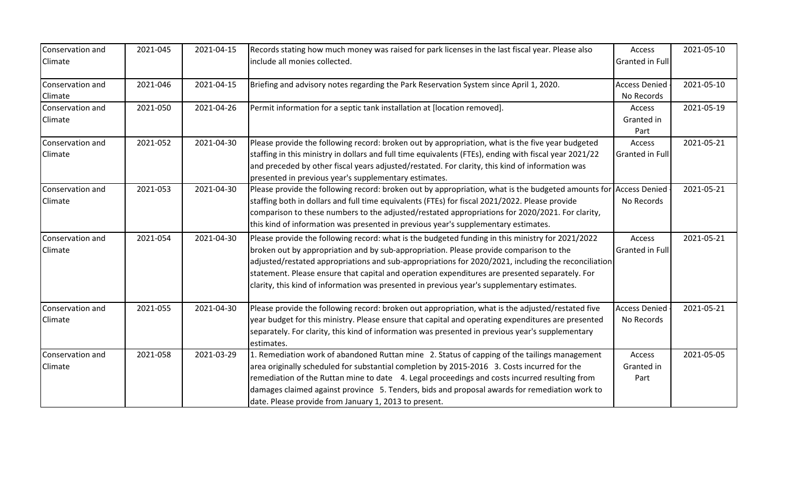| Conservation and<br>Climate | 2021-045 | 2021-04-15 | Records stating how much money was raised for park licenses in the last fiscal year. Please also<br>include all monies collected.                                                                                                                                                                                                                                                                                                                                                                  | Access<br>Granted in Full          | 2021-05-10 |
|-----------------------------|----------|------------|----------------------------------------------------------------------------------------------------------------------------------------------------------------------------------------------------------------------------------------------------------------------------------------------------------------------------------------------------------------------------------------------------------------------------------------------------------------------------------------------------|------------------------------------|------------|
| Conservation and<br>Climate | 2021-046 | 2021-04-15 | Briefing and advisory notes regarding the Park Reservation System since April 1, 2020.                                                                                                                                                                                                                                                                                                                                                                                                             | <b>Access Denied</b><br>No Records | 2021-05-10 |
| Conservation and<br>Climate | 2021-050 | 2021-04-26 | Permit information for a septic tank installation at [location removed].                                                                                                                                                                                                                                                                                                                                                                                                                           | Access<br>Granted in<br>Part       | 2021-05-19 |
| Conservation and<br>Climate | 2021-052 | 2021-04-30 | Please provide the following record: broken out by appropriation, what is the five year budgeted<br>staffing in this ministry in dollars and full time equivalents (FTEs), ending with fiscal year 2021/22<br>and preceded by other fiscal years adjusted/restated. For clarity, this kind of information was<br>presented in previous year's supplementary estimates.                                                                                                                             | Access<br>Granted in Full          | 2021-05-21 |
| Conservation and<br>Climate | 2021-053 | 2021-04-30 | Please provide the following record: broken out by appropriation, what is the budgeted amounts for<br>staffing both in dollars and full time equivalents (FTEs) for fiscal 2021/2022. Please provide<br>comparison to these numbers to the adjusted/restated appropriations for 2020/2021. For clarity,<br>this kind of information was presented in previous year's supplementary estimates.                                                                                                      | <b>Access Denied</b><br>No Records | 2021-05-21 |
| Conservation and<br>Climate | 2021-054 | 2021-04-30 | Please provide the following record: what is the budgeted funding in this ministry for 2021/2022<br>broken out by appropriation and by sub-appropriation. Please provide comparison to the<br>adjusted/restated appropriations and sub-appropriations for 2020/2021, including the reconciliation<br>statement. Please ensure that capital and operation expenditures are presented separately. For<br>clarity, this kind of information was presented in previous year's supplementary estimates. | Access<br><b>Granted in Full</b>   | 2021-05-21 |
| Conservation and<br>Climate | 2021-055 | 2021-04-30 | Please provide the following record: broken out appropriation, what is the adjusted/restated five<br>year budget for this ministry. Please ensure that capital and operating expenditures are presented<br>separately. For clarity, this kind of information was presented in previous year's supplementary<br>estimates.                                                                                                                                                                          | <b>Access Denied</b><br>No Records | 2021-05-21 |
| Conservation and<br>Climate | 2021-058 | 2021-03-29 | 1. Remediation work of abandoned Ruttan mine 2. Status of capping of the tailings management<br>area originally scheduled for substantial completion by 2015-2016 3. Costs incurred for the<br>remediation of the Ruttan mine to date 4. Legal proceedings and costs incurred resulting from<br>damages claimed against province 5. Tenders, bids and proposal awards for remediation work to<br>date. Please provide from January 1, 2013 to present.                                             | Access<br>Granted in<br>Part       | 2021-05-05 |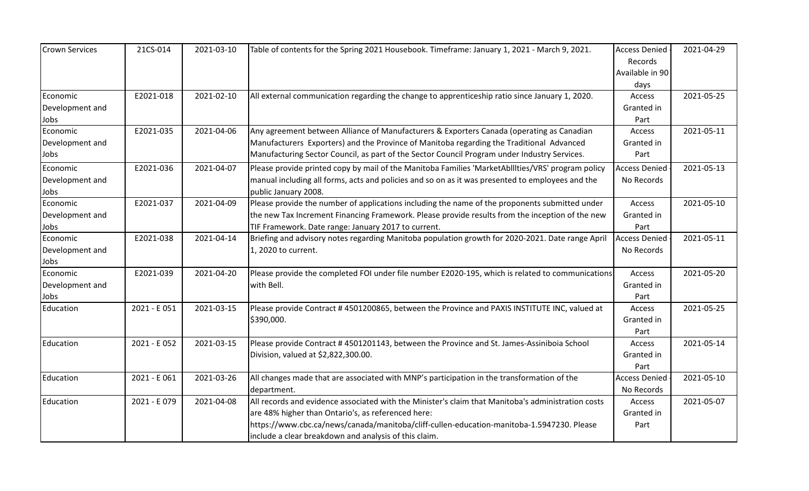| <b>Crown Services</b> | 21CS-014     | 2021-03-10 | Table of contents for the Spring 2021 Housebook. Timeframe: January 1, 2021 - March 9, 2021.       | <b>Access Denied</b> | 2021-04-29 |
|-----------------------|--------------|------------|----------------------------------------------------------------------------------------------------|----------------------|------------|
|                       |              |            |                                                                                                    | <b>Records</b>       |            |
|                       |              |            |                                                                                                    | Available in 90      |            |
|                       |              |            |                                                                                                    | days                 |            |
| Economic              | E2021-018    | 2021-02-10 | All external communication regarding the change to apprenticeship ratio since January 1, 2020.     | Access               | 2021-05-25 |
| Development and       |              |            |                                                                                                    | Granted in           |            |
| Jobs                  |              |            |                                                                                                    | Part                 |            |
| Economic              | E2021-035    | 2021-04-06 | Any agreement between Alliance of Manufacturers & Exporters Canada (operating as Canadian          | Access               | 2021-05-11 |
| Development and       |              |            | Manufacturers Exporters) and the Province of Manitoba regarding the Traditional Advanced           | Granted in           |            |
| Jobs                  |              |            | Manufacturing Sector Council, as part of the Sector Council Program under Industry Services.       | Part                 |            |
| Economic              | E2021-036    | 2021-04-07 | Please provide printed copy by mail of the Manitoba Families 'MarketAbilities/VRS' program policy  | <b>Access Denied</b> | 2021-05-13 |
| Development and       |              |            | manual including all forms, acts and policies and so on as it was presented to employees and the   | No Records           |            |
| Jobs                  |              |            | public January 2008.                                                                               |                      |            |
| Economic              | E2021-037    | 2021-04-09 | Please provide the number of applications including the name of the proponents submitted under     | Access               | 2021-05-10 |
| Development and       |              |            | the new Tax Increment Financing Framework. Please provide results from the inception of the new    | Granted in           |            |
| Jobs                  |              |            | TIF Framework. Date range: January 2017 to current.                                                | Part                 |            |
| Economic              | E2021-038    | 2021-04-14 | Briefing and advisory notes regarding Manitoba population growth for 2020-2021. Date range April   | <b>Access Denied</b> | 2021-05-11 |
| Development and       |              |            | 1, 2020 to current.                                                                                | No Records           |            |
| Jobs                  |              |            |                                                                                                    |                      |            |
| Economic              | E2021-039    | 2021-04-20 | Please provide the completed FOI under file number E2020-195, which is related to communications   | Access               | 2021-05-20 |
| Development and       |              |            | with Bell.                                                                                         | Granted in           |            |
| Jobs                  |              |            |                                                                                                    | Part                 |            |
| Education             | 2021 - E051  | 2021-03-15 | Please provide Contract #4501200865, between the Province and PAXIS INSTITUTE INC, valued at       | Access               | 2021-05-25 |
|                       |              |            | \$390,000.                                                                                         | Granted in           |            |
|                       |              |            |                                                                                                    | Part                 |            |
| Education             | 2021 - E052  | 2021-03-15 | Please provide Contract #4501201143, between the Province and St. James-Assiniboia School          | Access               | 2021-05-14 |
|                       |              |            | Division, valued at \$2,822,300.00.                                                                | Granted in           |            |
|                       |              |            |                                                                                                    | Part                 |            |
| Education             | 2021 - E 061 | 2021-03-26 | All changes made that are associated with MNP's participation in the transformation of the         | <b>Access Denied</b> | 2021-05-10 |
|                       |              |            | department.                                                                                        | No Records           |            |
| Education             | 2021 - E079  | 2021-04-08 | All records and evidence associated with the Minister's claim that Manitoba's administration costs | Access               | 2021-05-07 |
|                       |              |            | are 48% higher than Ontario's, as referenced here:                                                 | Granted in           |            |
|                       |              |            | https://www.cbc.ca/news/canada/manitoba/cliff-cullen-education-manitoba-1.5947230. Please          | Part                 |            |
|                       |              |            | include a clear breakdown and analysis of this claim.                                              |                      |            |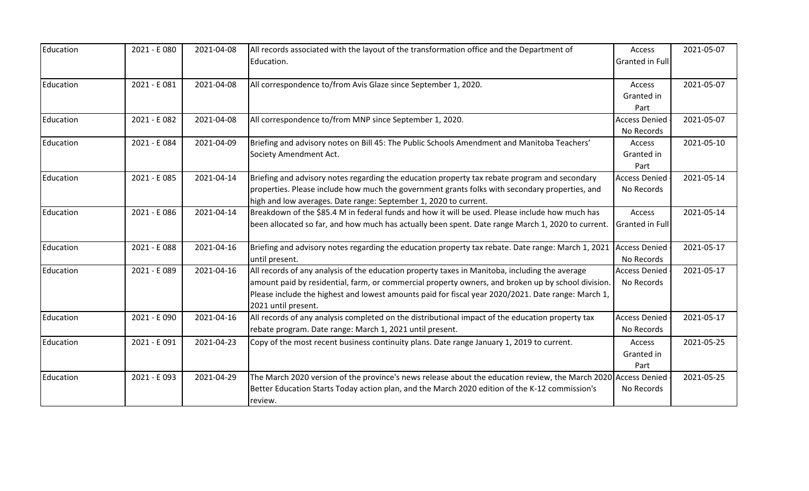| Education | 2021 - E 080 | 2021-04-08 | All records associated with the layout of the transformation office and the Department of<br>Education.                                                                                                                                                                                                                           | Access<br>Granted in Full          | 2021-05-07 |
|-----------|--------------|------------|-----------------------------------------------------------------------------------------------------------------------------------------------------------------------------------------------------------------------------------------------------------------------------------------------------------------------------------|------------------------------------|------------|
| Education | 2021 - E 081 | 2021-04-08 | All correspondence to/from Avis Glaze since September 1, 2020.                                                                                                                                                                                                                                                                    | Access<br>Granted in<br>Part       | 2021-05-07 |
| Education | 2021 - E082  | 2021-04-08 | All correspondence to/from MNP since September 1, 2020.                                                                                                                                                                                                                                                                           | <b>Access Denied</b><br>No Records | 2021-05-07 |
| Education | 2021 - E 084 | 2021-04-09 | Briefing and advisory notes on Bill 45: The Public Schools Amendment and Manitoba Teachers'<br>Society Amendment Act.                                                                                                                                                                                                             | Access<br>Granted in<br>Part       | 2021-05-10 |
| Education | 2021 - E085  | 2021-04-14 | Briefing and advisory notes regarding the education property tax rebate program and secondary<br>properties. Please include how much the government grants folks with secondary properties, and<br>high and low averages. Date range: September 1, 2020 to current.                                                               | <b>Access Denied</b><br>No Records | 2021-05-14 |
| Education | 2021 - E 086 | 2021-04-14 | Breakdown of the \$85.4 M in federal funds and how it will be used. Please include how much has<br>been allocated so far, and how much has actually been spent. Date range March 1, 2020 to current.                                                                                                                              | Access<br><b>Granted in Full</b>   | 2021-05-14 |
| Education | 2021 - E088  | 2021-04-16 | Briefing and advisory notes regarding the education property tax rebate. Date range: March 1, 2021<br>until present.                                                                                                                                                                                                              | <b>Access Denied</b><br>No Records | 2021-05-17 |
| Education | 2021 - E 089 | 2021-04-16 | All records of any analysis of the education property taxes in Manitoba, including the average<br>amount paid by residential, farm, or commercial property owners, and broken up by school division.<br>Please include the highest and lowest amounts paid for fiscal year 2020/2021. Date range: March 1,<br>2021 until present. | <b>Access Denied</b><br>No Records | 2021-05-17 |
| Education | 2021 - E 090 | 2021-04-16 | All records of any analysis completed on the distributional impact of the education property tax<br>rebate program. Date range: March 1, 2021 until present.                                                                                                                                                                      | <b>Access Denied</b><br>No Records | 2021-05-17 |
| Education | 2021 - E 091 | 2021-04-23 | Copy of the most recent business continuity plans. Date range January 1, 2019 to current.                                                                                                                                                                                                                                         | Access<br>Granted in<br>Part       | 2021-05-25 |
| Education | 2021 - E 093 | 2021-04-29 | The March 2020 version of the province's news release about the education review, the March 2020 Access Denied<br>Better Education Starts Today action plan, and the March 2020 edition of the K-12 commission's<br>review.                                                                                                       | No Records                         | 2021-05-25 |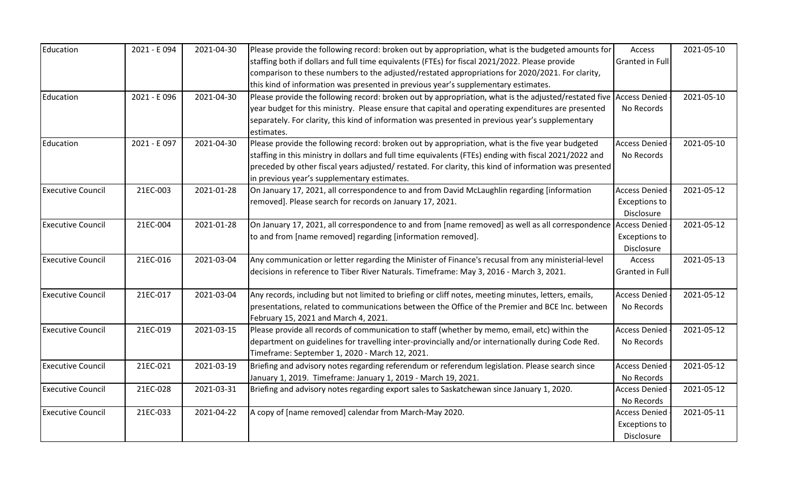| Education                | 2021 - E 094 | 2021-04-30 | Please provide the following record: broken out by appropriation, what is the budgeted amounts for     | Access               | 2021-05-10 |
|--------------------------|--------------|------------|--------------------------------------------------------------------------------------------------------|----------------------|------------|
|                          |              |            | staffing both if dollars and full time equivalents (FTEs) for fiscal 2021/2022. Please provide         | Granted in Full      |            |
|                          |              |            | comparison to these numbers to the adjusted/restated appropriations for 2020/2021. For clarity,        |                      |            |
|                          |              |            | this kind of information was presented in previous year's supplementary estimates.                     |                      |            |
| Education                | 2021 - E 096 | 2021-04-30 | Please provide the following record: broken out by appropriation, what is the adjusted/restated five   | <b>Access Denied</b> | 2021-05-10 |
|                          |              |            | year budget for this ministry. Please ensure that capital and operating expenditures are presented     | No Records           |            |
|                          |              |            | separately. For clarity, this kind of information was presented in previous year's supplementary       |                      |            |
|                          |              |            | estimates.                                                                                             |                      |            |
| Education                | 2021 - E 097 | 2021-04-30 | Please provide the following record: broken out by appropriation, what is the five year budgeted       | <b>Access Denied</b> | 2021-05-10 |
|                          |              |            | staffing in this ministry in dollars and full time equivalents (FTEs) ending with fiscal 2021/2022 and | No Records           |            |
|                          |              |            | preceded by other fiscal years adjusted/ restated. For clarity, this kind of information was presented |                      |            |
|                          |              |            | in previous year's supplementary estimates.                                                            |                      |            |
| <b>Executive Council</b> | 21EC-003     | 2021-01-28 | On January 17, 2021, all correspondence to and from David McLaughlin regarding [information            | <b>Access Denied</b> | 2021-05-12 |
|                          |              |            | removed]. Please search for records on January 17, 2021.                                               | <b>Exceptions to</b> |            |
|                          |              |            |                                                                                                        | Disclosure           |            |
| <b>Executive Council</b> | 21EC-004     | 2021-01-28 | On January 17, 2021, all correspondence to and from [name removed] as well as all correspondence       | <b>Access Denied</b> | 2021-05-12 |
|                          |              |            | to and from [name removed] regarding [information removed].                                            | <b>Exceptions to</b> |            |
|                          |              |            |                                                                                                        | Disclosure           |            |
| <b>Executive Council</b> | 21EC-016     | 2021-03-04 | Any communication or letter regarding the Minister of Finance's recusal from any ministerial-level     | Access               | 2021-05-13 |
|                          |              |            | decisions in reference to Tiber River Naturals. Timeframe: May 3, 2016 - March 3, 2021.                | Granted in Full      |            |
| <b>Executive Council</b> | 21EC-017     | 2021-03-04 | Any records, including but not limited to briefing or cliff notes, meeting minutes, letters, emails,   | <b>Access Denied</b> | 2021-05-12 |
|                          |              |            | presentations, related to communications between the Office of the Premier and BCE Inc. between        | No Records           |            |
|                          |              |            | February 15, 2021 and March 4, 2021.                                                                   |                      |            |
| <b>Executive Council</b> | 21EC-019     | 2021-03-15 | Please provide all records of communication to staff (whether by memo, email, etc) within the          | <b>Access Denied</b> | 2021-05-12 |
|                          |              |            | department on guidelines for travelling inter-provincially and/or internationally during Code Red.     | No Records           |            |
|                          |              |            | Timeframe: September 1, 2020 - March 12, 2021.                                                         |                      |            |
| <b>Executive Council</b> | 21EC-021     | 2021-03-19 | Briefing and advisory notes regarding referendum or referendum legislation. Please search since        | <b>Access Denied</b> | 2021-05-12 |
|                          |              |            | January 1, 2019. Timeframe: January 1, 2019 - March 19, 2021.                                          | No Records           |            |
| <b>Executive Council</b> | 21EC-028     | 2021-03-31 | Briefing and advisory notes regarding export sales to Saskatchewan since January 1, 2020.              | <b>Access Denied</b> | 2021-05-12 |
|                          |              |            |                                                                                                        | No Records           |            |
| <b>Executive Council</b> | 21EC-033     | 2021-04-22 | A copy of [name removed] calendar from March-May 2020.                                                 | <b>Access Denied</b> | 2021-05-11 |
|                          |              |            |                                                                                                        | <b>Exceptions to</b> |            |
|                          |              |            |                                                                                                        | Disclosure           |            |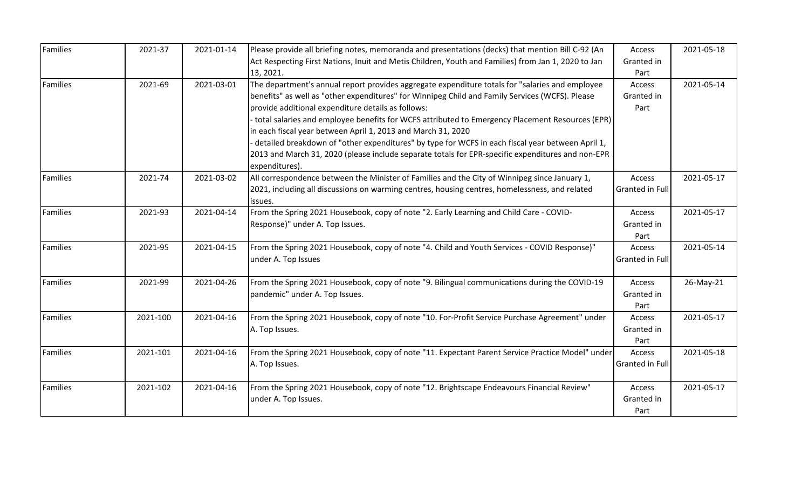| Families | 2021-37  | 2021-01-14 | Please provide all briefing notes, memoranda and presentations (decks) that mention Bill C-92 (An   | Access                 | 2021-05-18 |
|----------|----------|------------|-----------------------------------------------------------------------------------------------------|------------------------|------------|
|          |          |            | Act Respecting First Nations, Inuit and Metis Children, Youth and Families) from Jan 1, 2020 to Jan | Granted in             |            |
|          |          |            | 13, 2021.                                                                                           | Part                   |            |
| Families | 2021-69  | 2021-03-01 | The department's annual report provides aggregate expenditure totals for "salaries and employee     | Access                 | 2021-05-14 |
|          |          |            | benefits" as well as "other expenditures" for Winnipeg Child and Family Services (WCFS). Please     | Granted in             |            |
|          |          |            | provide additional expenditure details as follows:                                                  | Part                   |            |
|          |          |            | total salaries and employee benefits for WCFS attributed to Emergency Placement Resources (EPR)     |                        |            |
|          |          |            | in each fiscal year between April 1, 2013 and March 31, 2020                                        |                        |            |
|          |          |            | detailed breakdown of "other expenditures" by type for WCFS in each fiscal year between April 1,    |                        |            |
|          |          |            | 2013 and March 31, 2020 (please include separate totals for EPR-specific expenditures and non-EPR   |                        |            |
|          |          |            | expenditures).                                                                                      |                        |            |
| Families | 2021-74  | 2021-03-02 | All correspondence between the Minister of Families and the City of Winnipeg since January 1,       | Access                 | 2021-05-17 |
|          |          |            | 2021, including all discussions on warming centres, housing centres, homelessness, and related      | <b>Granted in Full</b> |            |
|          |          |            | issues.                                                                                             |                        |            |
| Families | 2021-93  | 2021-04-14 | From the Spring 2021 Housebook, copy of note "2. Early Learning and Child Care - COVID-             | Access                 | 2021-05-17 |
|          |          |            | Response)" under A. Top Issues.                                                                     | Granted in             |            |
|          |          |            |                                                                                                     | Part                   |            |
| Families | 2021-95  | 2021-04-15 | From the Spring 2021 Housebook, copy of note "4. Child and Youth Services - COVID Response)"        | Access                 | 2021-05-14 |
|          |          |            | under A. Top Issues                                                                                 | <b>Granted in Full</b> |            |
|          |          |            |                                                                                                     |                        |            |
| Families | 2021-99  | 2021-04-26 | From the Spring 2021 Housebook, copy of note "9. Bilingual communications during the COVID-19       | Access                 | 26-May-21  |
|          |          |            | pandemic" under A. Top Issues.                                                                      | Granted in             |            |
|          |          |            |                                                                                                     | Part                   |            |
| Families | 2021-100 | 2021-04-16 | From the Spring 2021 Housebook, copy of note "10. For-Profit Service Purchase Agreement" under      | Access                 | 2021-05-17 |
|          |          |            | A. Top Issues.                                                                                      | Granted in             |            |
|          |          |            |                                                                                                     | Part                   |            |
| Families | 2021-101 | 2021-04-16 | From the Spring 2021 Housebook, copy of note "11. Expectant Parent Service Practice Model" under    | Access                 | 2021-05-18 |
|          |          |            | A. Top Issues.                                                                                      | <b>Granted in Full</b> |            |
|          |          |            |                                                                                                     |                        |            |
| Families | 2021-102 | 2021-04-16 | From the Spring 2021 Housebook, copy of note "12. Brightscape Endeavours Financial Review"          | Access                 | 2021-05-17 |
|          |          |            | under A. Top Issues.                                                                                | Granted in             |            |
|          |          |            |                                                                                                     | Part                   |            |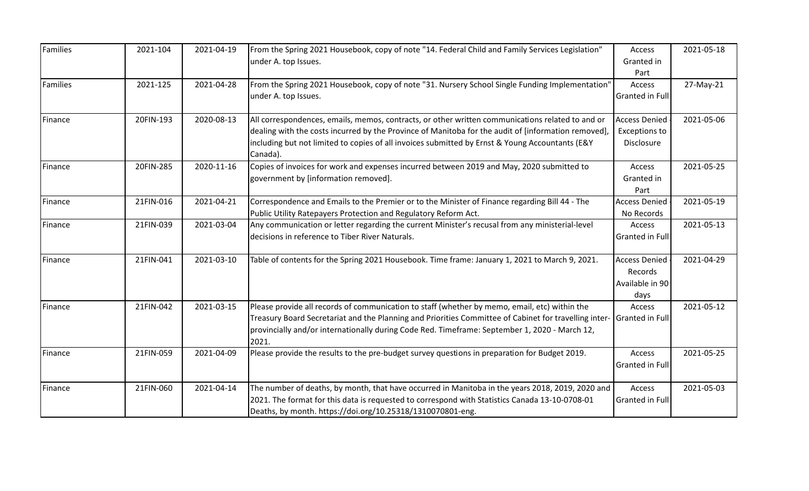| Families       | 2021-104  | 2021-04-19 | From the Spring 2021 Housebook, copy of note "14. Federal Child and Family Services Legislation"<br>under A. top Issues.                                                                                                                                                                                               | Access<br>Granted in<br>Part                               | 2021-05-18 |
|----------------|-----------|------------|------------------------------------------------------------------------------------------------------------------------------------------------------------------------------------------------------------------------------------------------------------------------------------------------------------------------|------------------------------------------------------------|------------|
| Families       | 2021-125  | 2021-04-28 | From the Spring 2021 Housebook, copy of note "31. Nursery School Single Funding Implementation"<br>under A. top Issues.                                                                                                                                                                                                | Access<br><b>Granted in Full</b>                           | 27-May-21  |
| Finance        | 20FIN-193 | 2020-08-13 | All correspondences, emails, memos, contracts, or other written communications related to and or<br>dealing with the costs incurred by the Province of Manitoba for the audit of [information removed],<br>including but not limited to copies of all invoices submitted by Ernst & Young Accountants (E&Y<br>Canada). | <b>Access Denied</b><br><b>Exceptions to</b><br>Disclosure | 2021-05-06 |
| <b>Finance</b> | 20FIN-285 | 2020-11-16 | Copies of invoices for work and expenses incurred between 2019 and May, 2020 submitted to<br>government by [information removed].                                                                                                                                                                                      | Access<br>Granted in<br>Part                               | 2021-05-25 |
| Finance        | 21FIN-016 | 2021-04-21 | Correspondence and Emails to the Premier or to the Minister of Finance regarding Bill 44 - The<br>Public Utility Ratepayers Protection and Regulatory Reform Act.                                                                                                                                                      | <b>Access Denied</b><br>No Records                         | 2021-05-19 |
| Finance        | 21FIN-039 | 2021-03-04 | Any communication or letter regarding the current Minister's recusal from any ministerial-level<br>decisions in reference to Tiber River Naturals.                                                                                                                                                                     | Access<br>Granted in Full                                  | 2021-05-13 |
| Finance        | 21FIN-041 | 2021-03-10 | Table of contents for the Spring 2021 Housebook. Time frame: January 1, 2021 to March 9, 2021.                                                                                                                                                                                                                         | <b>Access Denied</b><br>Records<br>Available in 90<br>days | 2021-04-29 |
| Finance        | 21FIN-042 | 2021-03-15 | Please provide all records of communication to staff (whether by memo, email, etc) within the<br>Treasury Board Secretariat and the Planning and Priorities Committee of Cabinet for travelling inter-<br>provincially and/or internationally during Code Red. Timeframe: September 1, 2020 - March 12,<br>2021.       | Access<br>Granted in Full                                  | 2021-05-12 |
| Finance        | 21FIN-059 | 2021-04-09 | Please provide the results to the pre-budget survey questions in preparation for Budget 2019.                                                                                                                                                                                                                          | Access<br>Granted in Full                                  | 2021-05-25 |
| Finance        | 21FIN-060 | 2021-04-14 | The number of deaths, by month, that have occurred in Manitoba in the years 2018, 2019, 2020 and<br>2021. The format for this data is requested to correspond with Statistics Canada 13-10-0708-01<br>Deaths, by month. https://doi.org/10.25318/1310070801-eng.                                                       | Access<br>Granted in Full                                  | 2021-05-03 |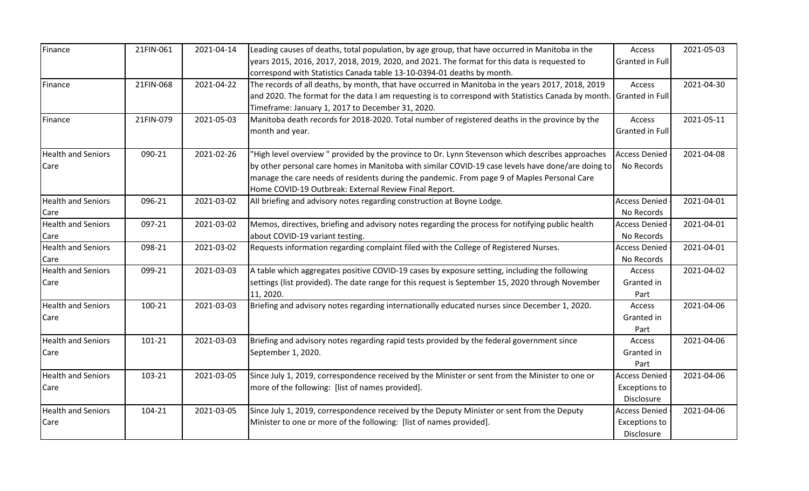| Finance                   | 21FIN-061 | 2021-04-14 | Leading causes of deaths, total population, by age group, that have occurred in Manitoba in the     | Access               | 2021-05-03 |
|---------------------------|-----------|------------|-----------------------------------------------------------------------------------------------------|----------------------|------------|
|                           |           |            | years 2015, 2016, 2017, 2018, 2019, 2020, and 2021. The format for this data is requested to        | Granted in Full      |            |
|                           |           |            | correspond with Statistics Canada table 13-10-0394-01 deaths by month.                              |                      |            |
| <b>Finance</b>            | 21FIN-068 | 2021-04-22 | The records of all deaths, by month, that have occurred in Manitoba in the years 2017, 2018, 2019   | Access               | 2021-04-30 |
|                           |           |            | and 2020. The format for the data I am requesting is to correspond with Statistics Canada by month. | Granted in Full      |            |
|                           |           |            | Timeframe: January 1, 2017 to December 31, 2020.                                                    |                      |            |
| Finance                   | 21FIN-079 | 2021-05-03 | Manitoba death records for 2018-2020. Total number of registered deaths in the province by the      | Access               | 2021-05-11 |
|                           |           |            | month and year.                                                                                     | Granted in Full      |            |
| <b>Health and Seniors</b> | 090-21    | 2021-02-26 | "High level overview " provided by the province to Dr. Lynn Stevenson which describes approaches    | <b>Access Denied</b> | 2021-04-08 |
| Care                      |           |            | by other personal care homes in Manitoba with similar COVID-19 case levels have done/are doing to   | No Records           |            |
|                           |           |            | manage the care needs of residents during the pandemic. From page 9 of Maples Personal Care         |                      |            |
|                           |           |            | Home COVID-19 Outbreak: External Review Final Report.                                               |                      |            |
| <b>Health and Seniors</b> | 096-21    | 2021-03-02 | All briefing and advisory notes regarding construction at Boyne Lodge.                              | <b>Access Denied</b> | 2021-04-01 |
| Care                      |           |            |                                                                                                     | No Records           |            |
| <b>Health and Seniors</b> | 097-21    | 2021-03-02 | Memos, directives, briefing and advisory notes regarding the process for notifying public health    | <b>Access Denied</b> | 2021-04-01 |
| Care                      |           |            | about COVID-19 variant testing.                                                                     | No Records           |            |
| <b>Health and Seniors</b> | 098-21    | 2021-03-02 | Requests information regarding complaint filed with the College of Registered Nurses.               | <b>Access Denied</b> | 2021-04-01 |
| Care                      |           |            |                                                                                                     | No Records           |            |
| <b>Health and Seniors</b> | 099-21    | 2021-03-03 | A table which aggregates positive COVID-19 cases by exposure setting, including the following       | Access               | 2021-04-02 |
| Care                      |           |            | settings (list provided). The date range for this request is September 15, 2020 through November    | Granted in           |            |
|                           |           |            | 11, 2020.                                                                                           | Part                 |            |
| <b>Health and Seniors</b> | 100-21    | 2021-03-03 | Briefing and advisory notes regarding internationally educated nurses since December 1, 2020.       | Access               | 2021-04-06 |
| Care                      |           |            |                                                                                                     | Granted in           |            |
|                           |           |            |                                                                                                     | Part                 |            |
| <b>Health and Seniors</b> | 101-21    | 2021-03-03 | Briefing and advisory notes regarding rapid tests provided by the federal government since          | Access               | 2021-04-06 |
| Care                      |           |            | September 1, 2020.                                                                                  | Granted in           |            |
|                           |           |            |                                                                                                     | Part                 |            |
| <b>Health and Seniors</b> | 103-21    | 2021-03-05 | Since July 1, 2019, correspondence received by the Minister or sent from the Minister to one or     | <b>Access Denied</b> | 2021-04-06 |
| Care                      |           |            | more of the following: [list of names provided].                                                    | <b>Exceptions to</b> |            |
|                           |           |            |                                                                                                     | Disclosure           |            |
| <b>Health and Seniors</b> | 104-21    | 2021-03-05 | Since July 1, 2019, correspondence received by the Deputy Minister or sent from the Deputy          | <b>Access Denied</b> | 2021-04-06 |
| Care                      |           |            | Minister to one or more of the following: [list of names provided].                                 | <b>Exceptions to</b> |            |
|                           |           |            |                                                                                                     | Disclosure           |            |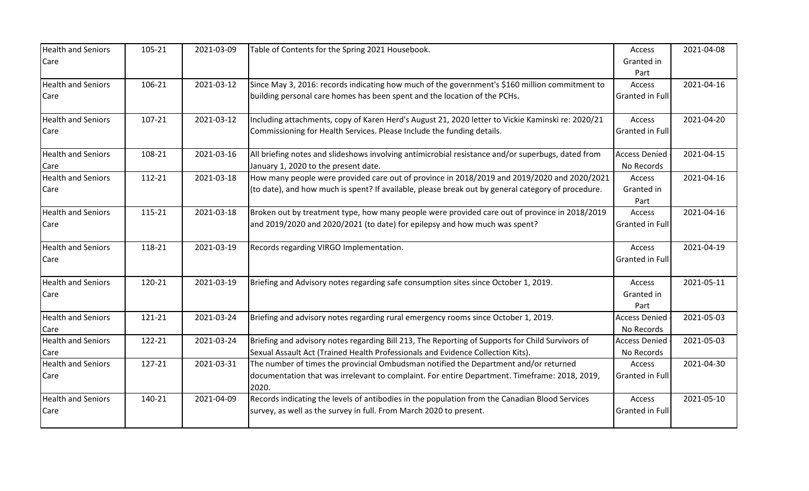| <b>Health and Seniors</b> | 105-21 | 2021-03-09 | Table of Contents for the Spring 2021 Housebook.                                                       | Access                 | 2021-04-08 |
|---------------------------|--------|------------|--------------------------------------------------------------------------------------------------------|------------------------|------------|
| Care                      |        |            |                                                                                                        | Granted in             |            |
|                           |        |            |                                                                                                        | Part                   |            |
| <b>Health and Seniors</b> | 106-21 | 2021-03-12 | Since May 3, 2016: records indicating how much of the government's \$160 million commitment to         | Access                 | 2021-04-16 |
| Care                      |        |            | building personal care homes has been spent and the location of the PCHs.                              | <b>Granted in Full</b> |            |
| <b>Health and Seniors</b> | 107-21 | 2021-03-12 | Including attachments, copy of Karen Herd's August 21, 2020 letter to Vickie Kaminski re: 2020/21      | Access                 | 2021-04-20 |
| Care                      |        |            | Commissioning for Health Services. Please Include the funding details.                                 | <b>Granted in Full</b> |            |
| <b>Health and Seniors</b> | 108-21 | 2021-03-16 | All briefing notes and slideshows involving antimicrobial resistance and/or superbugs, dated from      | <b>Access Denied</b>   | 2021-04-15 |
| Care                      |        |            | January 1, 2020 to the present date.                                                                   | No Records             |            |
| <b>Health and Seniors</b> | 112-21 | 2021-03-18 | How many people were provided care out of province in 2018/2019 and 2019/2020 and 2020/2021            | Access                 | 2021-04-16 |
| Care                      |        |            | (to date), and how much is spent? If available, please break out by general category of procedure.     | Granted in             |            |
|                           |        |            |                                                                                                        | Part                   |            |
| <b>Health and Seniors</b> | 115-21 | 2021-03-18 | Broken out by treatment type, how many people were provided care out of province in 2018/2019          | Access                 | 2021-04-16 |
| Care                      |        |            | and 2019/2020 and 2020/2021 (to date) for epilepsy and how much was spent?                             | <b>Granted in Full</b> |            |
| <b>Health and Seniors</b> | 118-21 | 2021-03-19 | Records regarding VIRGO Implementation.                                                                | Access                 | 2021-04-19 |
| Care                      |        |            |                                                                                                        | <b>Granted in Full</b> |            |
| <b>Health and Seniors</b> | 120-21 | 2021-03-19 | Briefing and Advisory notes regarding safe consumption sites since October 1, 2019.                    | Access                 | 2021-05-11 |
| Care                      |        |            |                                                                                                        | Granted in             |            |
|                           |        |            |                                                                                                        | Part                   |            |
| <b>Health and Seniors</b> | 121-21 | 2021-03-24 | Briefing and advisory notes regarding rural emergency rooms since October 1, 2019.                     | <b>Access Denied</b>   | 2021-05-03 |
| Care                      |        |            |                                                                                                        | No Records             |            |
| <b>Health and Seniors</b> | 122-21 | 2021-03-24 | Briefing and advisory notes regarding Bill 213, The Reporting of Supports for Child Survivors of       | <b>Access Denied</b>   | 2021-05-03 |
| Care                      |        |            | Sexual Assault Act (Trained Health Professionals and Evidence Collection Kits).                        | No Records             |            |
| <b>Health and Seniors</b> | 127-21 | 2021-03-31 | The number of times the provincial Ombudsman notified the Department and/or returned                   | Access                 | 2021-04-30 |
| Care                      |        |            | documentation that was irrelevant to complaint. For entire Department. Timeframe: 2018, 2019,<br>2020. | <b>Granted in Full</b> |            |
| <b>Health and Seniors</b> | 140-21 | 2021-04-09 | Records indicating the levels of antibodies in the population from the Canadian Blood Services         | Access                 | 2021-05-10 |
| Care                      |        |            | survey, as well as the survey in full. From March 2020 to present.                                     | Granted in Full        |            |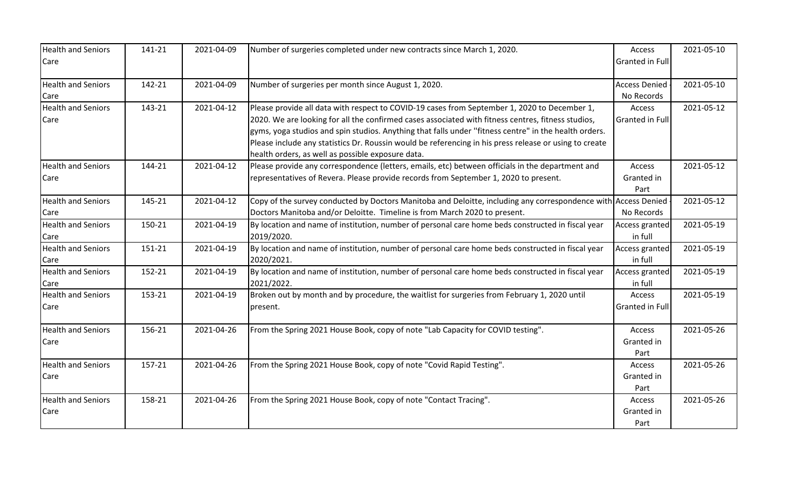| <b>Health and Seniors</b><br>Care | 141-21 | 2021-04-09 | Number of surgeries completed under new contracts since March 1, 2020.                                                                                                                                                                                                                                                                                                                                                                                                     | Access<br>Granted in Full          | 2021-05-10 |
|-----------------------------------|--------|------------|----------------------------------------------------------------------------------------------------------------------------------------------------------------------------------------------------------------------------------------------------------------------------------------------------------------------------------------------------------------------------------------------------------------------------------------------------------------------------|------------------------------------|------------|
| <b>Health and Seniors</b><br>Care | 142-21 | 2021-04-09 | Number of surgeries per month since August 1, 2020.                                                                                                                                                                                                                                                                                                                                                                                                                        | <b>Access Denied</b><br>No Records | 2021-05-10 |
| <b>Health and Seniors</b><br>Care | 143-21 | 2021-04-12 | Please provide all data with respect to COVID-19 cases from September 1, 2020 to December 1,<br>2020. We are looking for all the confirmed cases associated with fitness centres, fitness studios,<br>gyms, yoga studios and spin studios. Anything that falls under "fitness centre" in the health orders.<br>Please include any statistics Dr. Roussin would be referencing in his press release or using to create<br>health orders, as well as possible exposure data. | Access<br>Granted in Full          | 2021-05-12 |
| <b>Health and Seniors</b><br>Care | 144-21 | 2021-04-12 | Please provide any correspondence (letters, emails, etc) between officials in the department and<br>representatives of Revera. Please provide records from September 1, 2020 to present.                                                                                                                                                                                                                                                                                   | Access<br>Granted in<br>Part       | 2021-05-12 |
| <b>Health and Seniors</b><br>Care | 145-21 | 2021-04-12 | Copy of the survey conducted by Doctors Manitoba and Deloitte, including any correspondence with Access Denied<br>Doctors Manitoba and/or Deloitte. Timeline is from March 2020 to present.                                                                                                                                                                                                                                                                                | No Records                         | 2021-05-12 |
| <b>Health and Seniors</b><br>Care | 150-21 | 2021-04-19 | By location and name of institution, number of personal care home beds constructed in fiscal year<br>2019/2020.                                                                                                                                                                                                                                                                                                                                                            | Access granted<br>in full          | 2021-05-19 |
| <b>Health and Seniors</b><br>Care | 151-21 | 2021-04-19 | By location and name of institution, number of personal care home beds constructed in fiscal year<br>2020/2021.                                                                                                                                                                                                                                                                                                                                                            | Access granted<br>in full          | 2021-05-19 |
| <b>Health and Seniors</b><br>Care | 152-21 | 2021-04-19 | By location and name of institution, number of personal care home beds constructed in fiscal year<br>2021/2022.                                                                                                                                                                                                                                                                                                                                                            | <b>Access granted</b><br>in full   | 2021-05-19 |
| <b>Health and Seniors</b><br>Care | 153-21 | 2021-04-19 | Broken out by month and by procedure, the waitlist for surgeries from February 1, 2020 until<br>present.                                                                                                                                                                                                                                                                                                                                                                   | Access<br>Granted in Full          | 2021-05-19 |
| <b>Health and Seniors</b><br>Care | 156-21 | 2021-04-26 | From the Spring 2021 House Book, copy of note "Lab Capacity for COVID testing".                                                                                                                                                                                                                                                                                                                                                                                            | Access<br>Granted in<br>Part       | 2021-05-26 |
| <b>Health and Seniors</b><br>Care | 157-21 | 2021-04-26 | From the Spring 2021 House Book, copy of note "Covid Rapid Testing".                                                                                                                                                                                                                                                                                                                                                                                                       | Access<br>Granted in<br>Part       | 2021-05-26 |
| <b>Health and Seniors</b><br>Care | 158-21 | 2021-04-26 | From the Spring 2021 House Book, copy of note "Contact Tracing".                                                                                                                                                                                                                                                                                                                                                                                                           | Access<br>Granted in<br>Part       | 2021-05-26 |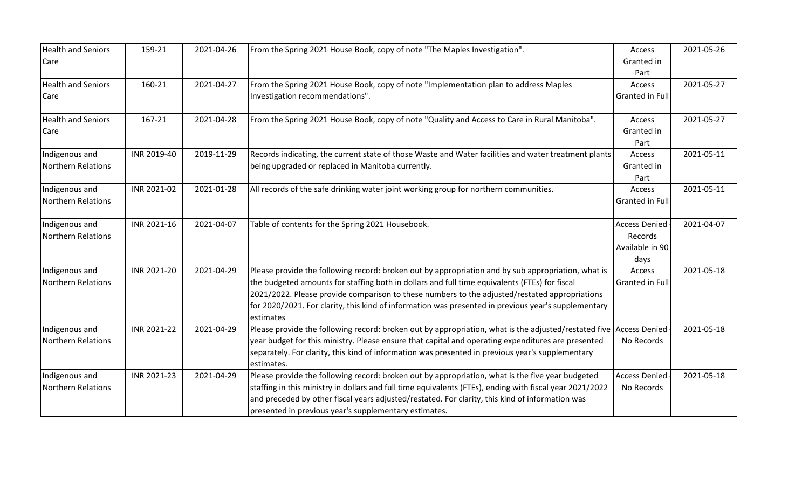| <b>Health and Seniors</b><br>Care | 159-21      | 2021-04-26 | From the Spring 2021 House Book, copy of note "The Maples Investigation".                                | Access<br>Granted in   | 2021-05-26 |
|-----------------------------------|-------------|------------|----------------------------------------------------------------------------------------------------------|------------------------|------------|
|                                   |             |            |                                                                                                          | Part                   |            |
| <b>Health and Seniors</b>         | 160-21      | 2021-04-27 | From the Spring 2021 House Book, copy of note "Implementation plan to address Maples                     | Access                 | 2021-05-27 |
| Care                              |             |            | Investigation recommendations".                                                                          | Granted in Full        |            |
| <b>Health and Seniors</b>         | 167-21      | 2021-04-28 | From the Spring 2021 House Book, copy of note "Quality and Access to Care in Rural Manitoba".            | Access                 | 2021-05-27 |
| Care                              |             |            |                                                                                                          | Granted in             |            |
|                                   |             |            |                                                                                                          | Part                   |            |
| Indigenous and                    | INR 2019-40 | 2019-11-29 | Records indicating, the current state of those Waste and Water facilities and water treatment plants     | Access                 | 2021-05-11 |
| <b>Northern Relations</b>         |             |            | being upgraded or replaced in Manitoba currently.                                                        | Granted in             |            |
|                                   |             |            |                                                                                                          | Part                   |            |
| Indigenous and                    | INR 2021-02 | 2021-01-28 | All records of the safe drinking water joint working group for northern communities.                     | Access                 | 2021-05-11 |
| <b>Northern Relations</b>         |             |            |                                                                                                          | Granted in Full        |            |
| Indigenous and                    | INR 2021-16 | 2021-04-07 | Table of contents for the Spring 2021 Housebook.                                                         | <b>Access Denied</b>   | 2021-04-07 |
| Northern Relations                |             |            |                                                                                                          | Records                |            |
|                                   |             |            |                                                                                                          | Available in 90        |            |
|                                   |             |            |                                                                                                          | days                   |            |
| Indigenous and                    | INR 2021-20 | 2021-04-29 | Please provide the following record: broken out by appropriation and by sub appropriation, what is       | Access                 | 2021-05-18 |
| <b>Northern Relations</b>         |             |            | the budgeted amounts for staffing both in dollars and full time equivalents (FTEs) for fiscal            | <b>Granted in Full</b> |            |
|                                   |             |            | 2021/2022. Please provide comparison to these numbers to the adjusted/restated appropriations            |                        |            |
|                                   |             |            | for 2020/2021. For clarity, this kind of information was presented in previous year's supplementary      |                        |            |
|                                   |             |            | estimates                                                                                                |                        |            |
| Indigenous and                    | INR 2021-22 | 2021-04-29 | Please provide the following record: broken out by appropriation, what is the adjusted/restated five     | <b>Access Denied</b>   | 2021-05-18 |
| Northern Relations                |             |            | year budget for this ministry. Please ensure that capital and operating expenditures are presented       | No Records             |            |
|                                   |             |            | separately. For clarity, this kind of information was presented in previous year's supplementary         |                        |            |
|                                   |             |            | estimates.                                                                                               |                        |            |
| Indigenous and                    | INR 2021-23 | 2021-04-29 | Please provide the following record: broken out by appropriation, what is the five year budgeted         | <b>Access Denied</b>   | 2021-05-18 |
| <b>Northern Relations</b>         |             |            | staffing in this ministry in dollars and full time equivalents (FTEs), ending with fiscal year 2021/2022 | No Records             |            |
|                                   |             |            | and preceded by other fiscal years adjusted/restated. For clarity, this kind of information was          |                        |            |
|                                   |             |            | presented in previous year's supplementary estimates.                                                    |                        |            |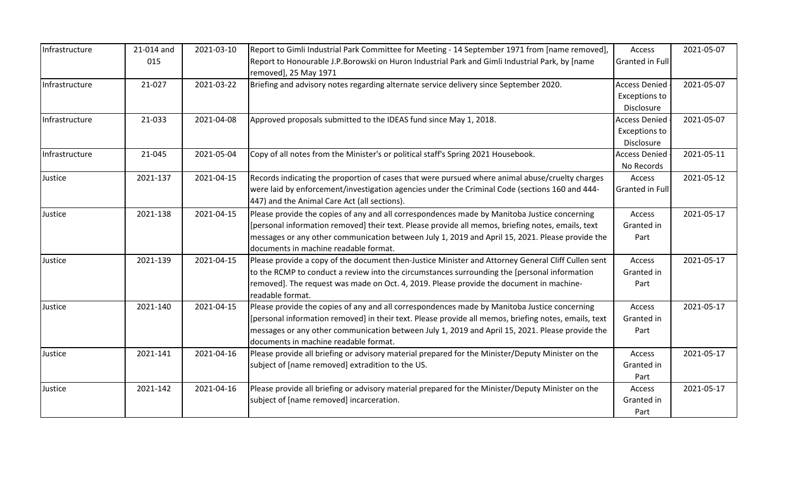| Infrastructure | 21-014 and | 2021-03-10 | Report to Gimli Industrial Park Committee for Meeting - 14 September 1971 from [name removed],                          | Access                 | 2021-05-07 |
|----------------|------------|------------|-------------------------------------------------------------------------------------------------------------------------|------------------------|------------|
|                | 015        |            | Report to Honourable J.P.Borowski on Huron Industrial Park and Gimli Industrial Park, by [name<br>removed], 25 May 1971 | <b>Granted in Full</b> |            |
| Infrastructure | 21-027     | 2021-03-22 | Briefing and advisory notes regarding alternate service delivery since September 2020.                                  | <b>Access Denied</b>   | 2021-05-07 |
|                |            |            |                                                                                                                         | <b>Exceptions to</b>   |            |
|                |            |            |                                                                                                                         | Disclosure             |            |
| Infrastructure | 21-033     | 2021-04-08 | Approved proposals submitted to the IDEAS fund since May 1, 2018.                                                       | <b>Access Denied</b>   | 2021-05-07 |
|                |            |            |                                                                                                                         | <b>Exceptions to</b>   |            |
|                |            |            |                                                                                                                         | Disclosure             |            |
| Infrastructure | 21-045     | 2021-05-04 | Copy of all notes from the Minister's or political staff's Spring 2021 Housebook.                                       | <b>Access Denied</b>   | 2021-05-11 |
|                |            |            |                                                                                                                         | No Records             |            |
| Justice        | 2021-137   | 2021-04-15 | Records indicating the proportion of cases that were pursued where animal abuse/cruelty charges                         | Access                 | 2021-05-12 |
|                |            |            | were laid by enforcement/investigation agencies under the Criminal Code (sections 160 and 444-                          | Granted in Full        |            |
|                |            |            | 447) and the Animal Care Act (all sections).                                                                            |                        |            |
| Justice        | 2021-138   | 2021-04-15 | Please provide the copies of any and all correspondences made by Manitoba Justice concerning                            | Access                 | 2021-05-17 |
|                |            |            | [personal information removed] their text. Please provide all memos, briefing notes, emails, text                       | Granted in             |            |
|                |            |            | messages or any other communication between July 1, 2019 and April 15, 2021. Please provide the                         | Part                   |            |
|                |            |            | documents in machine readable format.                                                                                   |                        |            |
| Justice        | 2021-139   | 2021-04-15 | Please provide a copy of the document then-Justice Minister and Attorney General Cliff Cullen sent                      | Access                 | 2021-05-17 |
|                |            |            | to the RCMP to conduct a review into the circumstances surrounding the [personal information                            | Granted in             |            |
|                |            |            | removed]. The request was made on Oct. 4, 2019. Please provide the document in machine-                                 | Part                   |            |
|                |            |            | readable format.                                                                                                        |                        |            |
| Justice        | 2021-140   | 2021-04-15 | Please provide the copies of any and all correspondences made by Manitoba Justice concerning                            | Access                 | 2021-05-17 |
|                |            |            | [personal information removed] in their text. Please provide all memos, briefing notes, emails, text                    | Granted in             |            |
|                |            |            | messages or any other communication between July 1, 2019 and April 15, 2021. Please provide the                         | Part                   |            |
|                |            |            | documents in machine readable format.                                                                                   |                        |            |
| Justice        | 2021-141   | 2021-04-16 | Please provide all briefing or advisory material prepared for the Minister/Deputy Minister on the                       | Access                 | 2021-05-17 |
|                |            |            | subject of [name removed] extradition to the US.                                                                        | Granted in             |            |
|                |            |            |                                                                                                                         | Part                   |            |
| Justice        | 2021-142   | 2021-04-16 | Please provide all briefing or advisory material prepared for the Minister/Deputy Minister on the                       | Access                 | 2021-05-17 |
|                |            |            | subject of [name removed] incarceration.                                                                                | Granted in             |            |
|                |            |            |                                                                                                                         | Part                   |            |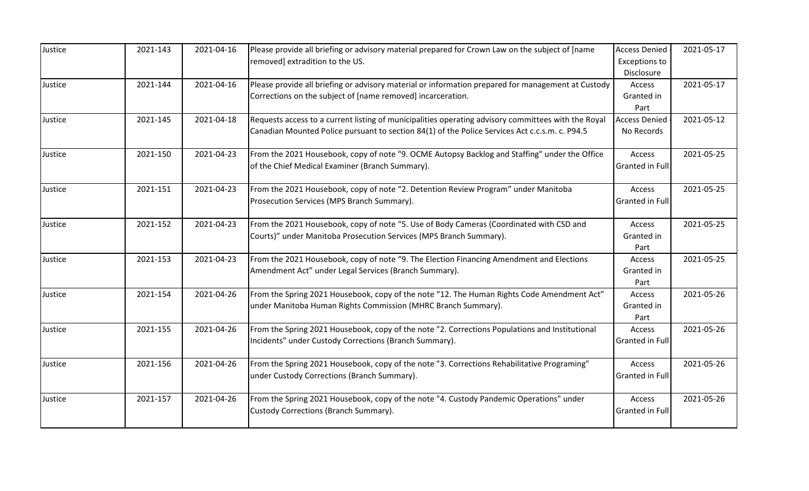| Justice | 2021-143 | 2021-04-16 | Please provide all briefing or advisory material prepared for Crown Law on the subject of [name<br>removed] extradition to the US.                                                                    | <b>Access Denied</b><br><b>Exceptions to</b><br>Disclosure | 2021-05-17 |
|---------|----------|------------|-------------------------------------------------------------------------------------------------------------------------------------------------------------------------------------------------------|------------------------------------------------------------|------------|
| Justice | 2021-144 | 2021-04-16 | Please provide all briefing or advisory material or information prepared for management at Custody<br>Corrections on the subject of [name removed] incarceration.                                     | Access<br>Granted in<br>Part                               | 2021-05-17 |
| Justice | 2021-145 | 2021-04-18 | Requests access to a current listing of municipalities operating advisory committees with the Royal<br>Canadian Mounted Police pursuant to section 84(1) of the Police Services Act c.c.s.m. c. P94.5 | <b>Access Denied</b><br>No Records                         | 2021-05-12 |
| Justice | 2021-150 | 2021-04-23 | From the 2021 Housebook, copy of note "9. OCME Autopsy Backlog and Staffing" under the Office<br>of the Chief Medical Examiner (Branch Summary).                                                      | Access<br><b>Granted in Full</b>                           | 2021-05-25 |
| Justice | 2021-151 | 2021-04-23 | From the 2021 Housebook, copy of note "2. Detention Review Program" under Manitoba<br>Prosecution Services (MPS Branch Summary).                                                                      | Access<br>Granted in Full                                  | 2021-05-25 |
| Justice | 2021-152 | 2021-04-23 | From the 2021 Housebook, copy of note "5. Use of Body Cameras (Coordinated with CSD and<br>Courts)" under Manitoba Prosecution Services (MPS Branch Summary).                                         | Access<br>Granted in<br>Part                               | 2021-05-25 |
| Justice | 2021-153 | 2021-04-23 | From the 2021 Housebook, copy of note "9. The Election Financing Amendment and Elections<br>Amendment Act" under Legal Services (Branch Summary).                                                     | Access<br>Granted in<br>Part                               | 2021-05-25 |
| Justice | 2021-154 | 2021-04-26 | From the Spring 2021 Housebook, copy of the note "12. The Human Rights Code Amendment Act"<br>under Manitoba Human Rights Commission (MHRC Branch Summary).                                           | Access<br>Granted in<br>Part                               | 2021-05-26 |
| Justice | 2021-155 | 2021-04-26 | From the Spring 2021 Housebook, copy of the note "2. Corrections Populations and Institutional<br>Incidents" under Custody Corrections (Branch Summary).                                              | Access<br><b>Granted in Full</b>                           | 2021-05-26 |
| Justice | 2021-156 | 2021-04-26 | From the Spring 2021 Housebook, copy of the note "3. Corrections Rehabilitative Programing"<br>under Custody Corrections (Branch Summary).                                                            | Access<br><b>Granted in Full</b>                           | 2021-05-26 |
| Justice | 2021-157 | 2021-04-26 | From the Spring 2021 Housebook, copy of the note "4. Custody Pandemic Operations" under<br>Custody Corrections (Branch Summary).                                                                      | Access<br>Granted in Full                                  | 2021-05-26 |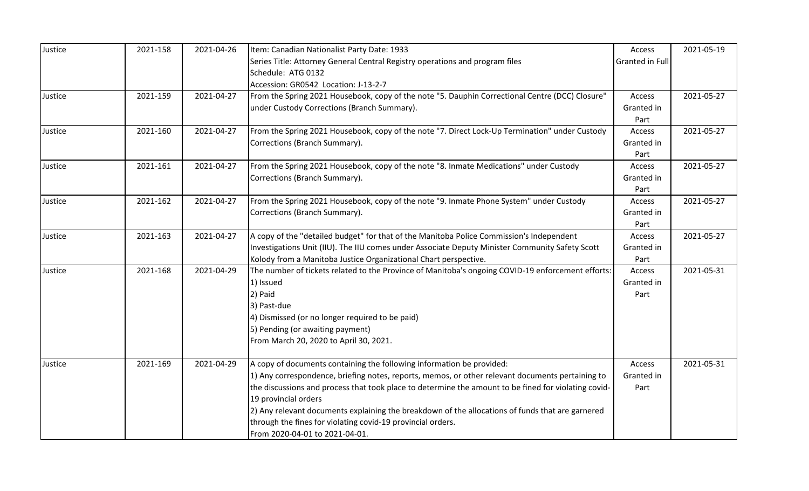| Justice | 2021-158 | 2021-04-26 | Item: Canadian Nationalist Party Date: 1933                                                          | Access          | 2021-05-19 |
|---------|----------|------------|------------------------------------------------------------------------------------------------------|-----------------|------------|
|         |          |            | Series Title: Attorney General Central Registry operations and program files                         | Granted in Full |            |
|         |          |            | Schedule: ATG 0132                                                                                   |                 |            |
|         |          |            | Accession: GR0542 Location: J-13-2-7                                                                 |                 |            |
| Justice | 2021-159 | 2021-04-27 | From the Spring 2021 Housebook, copy of the note "5. Dauphin Correctional Centre (DCC) Closure"      | Access          | 2021-05-27 |
|         |          |            | under Custody Corrections (Branch Summary).                                                          | Granted in      |            |
|         |          |            |                                                                                                      | Part            |            |
| Justice | 2021-160 | 2021-04-27 | From the Spring 2021 Housebook, copy of the note "7. Direct Lock-Up Termination" under Custody       | Access          | 2021-05-27 |
|         |          |            | Corrections (Branch Summary).                                                                        | Granted in      |            |
|         |          |            |                                                                                                      | Part            |            |
| Justice | 2021-161 | 2021-04-27 | From the Spring 2021 Housebook, copy of the note "8. Inmate Medications" under Custody               | Access          | 2021-05-27 |
|         |          |            | Corrections (Branch Summary).                                                                        | Granted in      |            |
|         |          |            |                                                                                                      | Part            |            |
| Justice | 2021-162 | 2021-04-27 | From the Spring 2021 Housebook, copy of the note "9. Inmate Phone System" under Custody              | Access          | 2021-05-27 |
|         |          |            | Corrections (Branch Summary).                                                                        | Granted in      |            |
|         |          |            |                                                                                                      | Part            |            |
| Justice | 2021-163 | 2021-04-27 | A copy of the "detailed budget" for that of the Manitoba Police Commission's Independent             | Access          | 2021-05-27 |
|         |          |            | Investigations Unit (IIU). The IIU comes under Associate Deputy Minister Community Safety Scott      | Granted in      |            |
|         |          |            | Kolody from a Manitoba Justice Organizational Chart perspective.                                     | Part            |            |
| Justice | 2021-168 | 2021-04-29 | The number of tickets related to the Province of Manitoba's ongoing COVID-19 enforcement efforts:    | Access          | 2021-05-31 |
|         |          |            | 1) Issued                                                                                            | Granted in      |            |
|         |          |            | 2) Paid                                                                                              | Part            |            |
|         |          |            | 3) Past-due                                                                                          |                 |            |
|         |          |            | 4) Dismissed (or no longer required to be paid)                                                      |                 |            |
|         |          |            | 5) Pending (or awaiting payment)                                                                     |                 |            |
|         |          |            | From March 20, 2020 to April 30, 2021.                                                               |                 |            |
| Justice | 2021-169 | 2021-04-29 | A copy of documents containing the following information be provided:                                | Access          | 2021-05-31 |
|         |          |            | 1) Any correspondence, briefing notes, reports, memos, or other relevant documents pertaining to     | Granted in      |            |
|         |          |            | the discussions and process that took place to determine the amount to be fined for violating covid- | Part            |            |
|         |          |            | 19 provincial orders                                                                                 |                 |            |
|         |          |            | 2) Any relevant documents explaining the breakdown of the allocations of funds that are garnered     |                 |            |
|         |          |            | through the fines for violating covid-19 provincial orders.                                          |                 |            |
|         |          |            | From 2020-04-01 to 2021-04-01.                                                                       |                 |            |
|         |          |            |                                                                                                      |                 |            |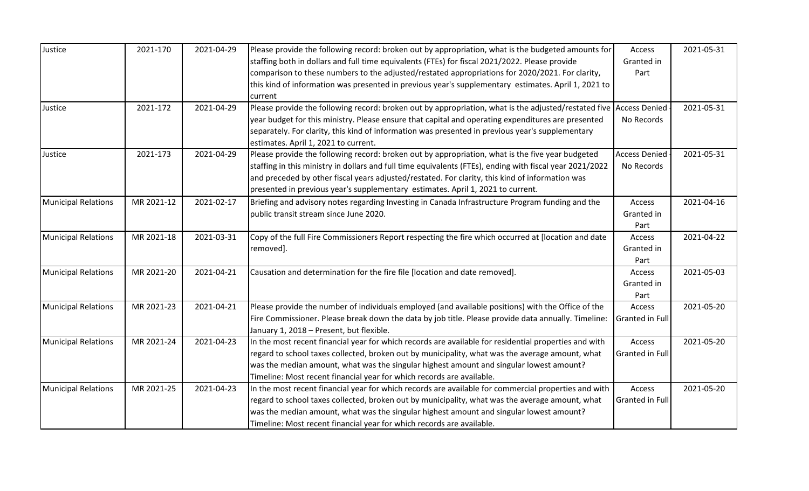| Justice                    | 2021-170   | 2021-04-29 | Please provide the following record: broken out by appropriation, what is the budgeted amounts for                 | Access               | 2021-05-31 |
|----------------------------|------------|------------|--------------------------------------------------------------------------------------------------------------------|----------------------|------------|
|                            |            |            | staffing both in dollars and full time equivalents (FTEs) for fiscal 2021/2022. Please provide                     | Granted in           |            |
|                            |            |            | comparison to these numbers to the adjusted/restated appropriations for 2020/2021. For clarity,                    | Part                 |            |
|                            |            |            | this kind of information was presented in previous year's supplementary estimates. April 1, 2021 to                |                      |            |
|                            |            |            | current                                                                                                            |                      |            |
| Justice                    | 2021-172   | 2021-04-29 | Please provide the following record: broken out by appropriation, what is the adjusted/restated five Access Denied |                      | 2021-05-31 |
|                            |            |            | year budget for this ministry. Please ensure that capital and operating expenditures are presented                 | No Records           |            |
|                            |            |            | separately. For clarity, this kind of information was presented in previous year's supplementary                   |                      |            |
|                            |            |            | estimates. April 1, 2021 to current.                                                                               |                      |            |
| Justice                    | 2021-173   | 2021-04-29 | Please provide the following record: broken out by appropriation, what is the five year budgeted                   | <b>Access Denied</b> | 2021-05-31 |
|                            |            |            | staffing in this ministry in dollars and full time equivalents (FTEs), ending with fiscal year 2021/2022           | No Records           |            |
|                            |            |            | and preceded by other fiscal years adjusted/restated. For clarity, this kind of information was                    |                      |            |
|                            |            |            | presented in previous year's supplementary estimates. April 1, 2021 to current.                                    |                      |            |
| <b>Municipal Relations</b> | MR 2021-12 | 2021-02-17 | Briefing and advisory notes regarding Investing in Canada Infrastructure Program funding and the                   | Access               | 2021-04-16 |
|                            |            |            | public transit stream since June 2020.                                                                             | Granted in           |            |
|                            |            |            |                                                                                                                    | Part                 |            |
| <b>Municipal Relations</b> | MR 2021-18 | 2021-03-31 | Copy of the full Fire Commissioners Report respecting the fire which occurred at [location and date                | Access               | 2021-04-22 |
|                            |            |            | removed].                                                                                                          | Granted in           |            |
|                            |            |            |                                                                                                                    | Part                 |            |
| <b>Municipal Relations</b> | MR 2021-20 | 2021-04-21 | Causation and determination for the fire file [location and date removed].                                         | Access               | 2021-05-03 |
|                            |            |            |                                                                                                                    | Granted in           |            |
|                            |            |            |                                                                                                                    | Part                 |            |
| <b>Municipal Relations</b> | MR 2021-23 | 2021-04-21 | Please provide the number of individuals employed (and available positions) with the Office of the                 | Access               | 2021-05-20 |
|                            |            |            | Fire Commissioner. Please break down the data by job title. Please provide data annually. Timeline:                | Granted in Full      |            |
|                            |            |            | January 1, 2018 - Present, but flexible.                                                                           |                      |            |
| <b>Municipal Relations</b> | MR 2021-24 | 2021-04-23 | In the most recent financial year for which records are available for residential properties and with              | Access               | 2021-05-20 |
|                            |            |            | regard to school taxes collected, broken out by municipality, what was the average amount, what                    | Granted in Full      |            |
|                            |            |            | was the median amount, what was the singular highest amount and singular lowest amount?                            |                      |            |
|                            |            |            | Timeline: Most recent financial year for which records are available.                                              |                      |            |
| <b>Municipal Relations</b> | MR 2021-25 | 2021-04-23 | In the most recent financial year for which records are available for commercial properties and with               | Access               | 2021-05-20 |
|                            |            |            | regard to school taxes collected, broken out by municipality, what was the average amount, what                    | Granted in Full      |            |
|                            |            |            | was the median amount, what was the singular highest amount and singular lowest amount?                            |                      |            |
|                            |            |            | Timeline: Most recent financial year for which records are available.                                              |                      |            |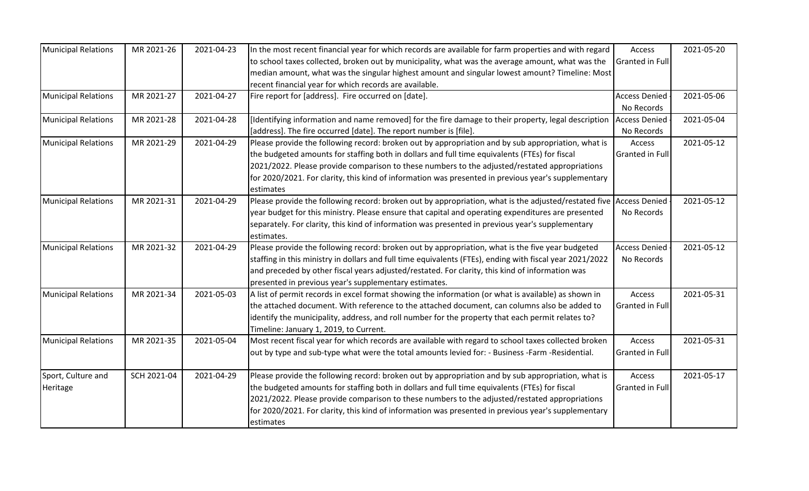| <b>Municipal Relations</b> | MR 2021-26  | 2021-04-23 | In the most recent financial year for which records are available for farm properties and with regard              | Access               | 2021-05-20 |
|----------------------------|-------------|------------|--------------------------------------------------------------------------------------------------------------------|----------------------|------------|
|                            |             |            | to school taxes collected, broken out by municipality, what was the average amount, what was the                   | Granted in Full      |            |
|                            |             |            | median amount, what was the singular highest amount and singular lowest amount? Timeline: Most                     |                      |            |
|                            |             |            | recent financial year for which records are available.                                                             |                      |            |
| <b>Municipal Relations</b> | MR 2021-27  | 2021-04-27 | Fire report for [address]. Fire occurred on [date].                                                                | <b>Access Denied</b> | 2021-05-06 |
|                            |             |            |                                                                                                                    | No Records           |            |
| <b>Municipal Relations</b> | MR 2021-28  | 2021-04-28 | [Identifying information and name removed] for the fire damage to their property, legal description                | <b>Access Denied</b> | 2021-05-04 |
|                            |             |            | [address]. The fire occurred [date]. The report number is [file].                                                  | No Records           |            |
| <b>Municipal Relations</b> | MR 2021-29  | 2021-04-29 | Please provide the following record: broken out by appropriation and by sub appropriation, what is                 | Access               | 2021-05-12 |
|                            |             |            | the budgeted amounts for staffing both in dollars and full time equivalents (FTEs) for fiscal                      | Granted in Full      |            |
|                            |             |            | 2021/2022. Please provide comparison to these numbers to the adjusted/restated appropriations                      |                      |            |
|                            |             |            | for 2020/2021. For clarity, this kind of information was presented in previous year's supplementary                |                      |            |
|                            |             |            | estimates                                                                                                          |                      |            |
| <b>Municipal Relations</b> | MR 2021-31  | 2021-04-29 | Please provide the following record: broken out by appropriation, what is the adjusted/restated five Access Denied |                      | 2021-05-12 |
|                            |             |            | year budget for this ministry. Please ensure that capital and operating expenditures are presented                 | No Records           |            |
|                            |             |            | separately. For clarity, this kind of information was presented in previous year's supplementary                   |                      |            |
|                            |             |            | estimates.                                                                                                         |                      |            |
| <b>Municipal Relations</b> | MR 2021-32  | 2021-04-29 | Please provide the following record: broken out by appropriation, what is the five year budgeted                   | <b>Access Denied</b> | 2021-05-12 |
|                            |             |            | staffing in this ministry in dollars and full time equivalents (FTEs), ending with fiscal year 2021/2022           | No Records           |            |
|                            |             |            | and preceded by other fiscal years adjusted/restated. For clarity, this kind of information was                    |                      |            |
|                            |             |            | presented in previous year's supplementary estimates.                                                              |                      |            |
| <b>Municipal Relations</b> | MR 2021-34  | 2021-05-03 | A list of permit records in excel format showing the information (or what is available) as shown in                | Access               | 2021-05-31 |
|                            |             |            | the attached document. With reference to the attached document, can columns also be added to                       | Granted in Full      |            |
|                            |             |            | identify the municipality, address, and roll number for the property that each permit relates to?                  |                      |            |
|                            |             |            | Timeline: January 1, 2019, to Current.                                                                             |                      |            |
| <b>Municipal Relations</b> | MR 2021-35  | 2021-05-04 | Most recent fiscal year for which records are available with regard to school taxes collected broken               | Access               | 2021-05-31 |
|                            |             |            | out by type and sub-type what were the total amounts levied for: - Business -Farm -Residential.                    | Granted in Full      |            |
| Sport, Culture and         | SCH 2021-04 | 2021-04-29 | Please provide the following record: broken out by appropriation and by sub appropriation, what is                 | Access               | 2021-05-17 |
| Heritage                   |             |            | the budgeted amounts for staffing both in dollars and full time equivalents (FTEs) for fiscal                      | Granted in Full      |            |
|                            |             |            | 2021/2022. Please provide comparison to these numbers to the adjusted/restated appropriations                      |                      |            |
|                            |             |            | for 2020/2021. For clarity, this kind of information was presented in previous year's supplementary                |                      |            |
|                            |             |            | estimates                                                                                                          |                      |            |